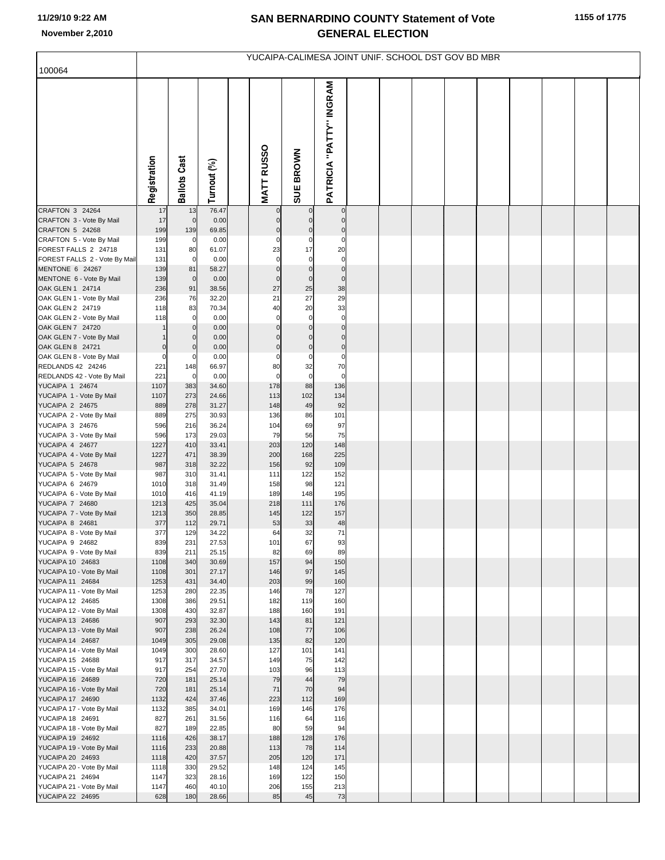## **SAN BERNARDINO COUNTY Statement of Vote November 2,2010 GENERAL ELECTION**

| YUCAIPA-CALIMESA JOINT UNIF. SCHOOL DST GOV BD MBR |              |                                  |                |  |                      |                              |                                |  |  |  |  |  |  |  |  |
|----------------------------------------------------|--------------|----------------------------------|----------------|--|----------------------|------------------------------|--------------------------------|--|--|--|--|--|--|--|--|
| 100064                                             |              |                                  |                |  |                      |                              |                                |  |  |  |  |  |  |  |  |
|                                                    | Registration | <b>Ballots Cast</b>              | Turnout (%)    |  | <b>MATT RUSSO</b>    | SUE BROWN                    | <b>PATRICIA "PATTY" INGRAM</b> |  |  |  |  |  |  |  |  |
| CRAFTON 3 24264                                    | 17           | 13                               | 76.47          |  |                      |                              | $\overline{0}$                 |  |  |  |  |  |  |  |  |
| CRAFTON 3 - Vote By Mail<br>CRAFTON 5 24268        | 17<br>199    | $\overline{0}$<br>139            | 0.00<br>69.85  |  | $\mathbf 0$          | C                            | $\mathbf 0$<br>$\mathbf 0$     |  |  |  |  |  |  |  |  |
| CRAFTON 5 - Vote By Mail                           | 199          | $\overline{0}$                   | 0.00           |  | $\mathbf 0$          | $\Omega$                     | $\mathbf 0$                    |  |  |  |  |  |  |  |  |
| FOREST FALLS 2 24718                               | 131          | 80                               | 61.07          |  | 23                   | 17                           | 20                             |  |  |  |  |  |  |  |  |
| FOREST FALLS 2 - Vote By Mail                      | 131          | $\overline{0}$                   | 0.00           |  | $\mathbf 0$          | $\mathbf 0$                  | $\mathbf 0$                    |  |  |  |  |  |  |  |  |
| MENTONE 6 24267<br>MENTONE 6 - Vote By Mail        | 139<br>139   | 81<br>$\mathbf 0$                | 58.27<br>0.00  |  | 0<br>$\mathbf 0$     | $\mathcal{C}$<br>$\mathbf 0$ | $\mathbf 0$<br>$\mathbf 0$     |  |  |  |  |  |  |  |  |
| OAK GLEN 1 24714                                   | 236          | 91                               | 38.56          |  | 27                   | 25                           | 38                             |  |  |  |  |  |  |  |  |
| OAK GLEN 1 - Vote By Mail                          | 236          | 76                               | 32.20          |  | 21                   | 27                           | 29                             |  |  |  |  |  |  |  |  |
| OAK GLEN 2 24719                                   | 118          | 83                               | 70.34          |  | 40                   | 20                           | 33                             |  |  |  |  |  |  |  |  |
| OAK GLEN 2 - Vote By Mail                          | 118          | $\overline{0}$                   | 0.00           |  | $\mathbf 0$          | $\mathbf 0$                  | $\mathbf 0$                    |  |  |  |  |  |  |  |  |
| OAK GLEN 7 24720<br>OAK GLEN 7 - Vote By Mail      |              | $\overline{0}$<br>$\overline{0}$ | 0.00<br>0.00   |  | $\Omega$<br>$\Omega$ | $\mathcal{C}$                | $\mathbf 0$<br>$\mathbf 0$     |  |  |  |  |  |  |  |  |
| OAK GLEN 8 24721                                   | $\bf 0$      | $\overline{0}$                   | 0.00           |  | $\mathbf 0$          | $\mathbf 0$                  | $\pmb{0}$                      |  |  |  |  |  |  |  |  |
| OAK GLEN 8 - Vote By Mail                          | $\mathbf 0$  | $\overline{0}$                   | 0.00           |  | 0                    | C                            | $\mathbf 0$                    |  |  |  |  |  |  |  |  |
| REDLANDS 42 24246                                  | 221          | 148                              | 66.97          |  | 80                   | 32                           | 70                             |  |  |  |  |  |  |  |  |
| REDLANDS 42 - Vote By Mail                         | 221          | $\mathbf 0$                      | 0.00           |  | $\mathbf 0$          | $\mathbf 0$                  | $\mathbf 0$                    |  |  |  |  |  |  |  |  |
| YUCAIPA 1 24674<br>YUCAIPA 1 - Vote By Mail        | 1107<br>1107 | 383<br>273                       | 34.60<br>24.66 |  | 178<br>113           | 88<br>102                    | 136<br>134                     |  |  |  |  |  |  |  |  |
| YUCAIPA 2 24675                                    | 889          | 278                              | 31.27          |  | 148                  | 49                           | 92                             |  |  |  |  |  |  |  |  |
| YUCAIPA 2 - Vote By Mail                           | 889          | 275                              | 30.93          |  | 136                  | 86                           | 101                            |  |  |  |  |  |  |  |  |
| YUCAIPA 3 24676                                    | 596          | 216                              | 36.24          |  | 104                  | 69                           | 97                             |  |  |  |  |  |  |  |  |
| YUCAIPA 3 - Vote By Mail<br>YUCAIPA 4 24677        | 596<br>1227  | 173<br>410                       | 29.03<br>33.41 |  | 79<br>203            | 56<br>120                    | 75<br>148                      |  |  |  |  |  |  |  |  |
| YUCAIPA 4 - Vote By Mail                           | 1227         | 471                              | 38.39          |  | 200                  | 168                          | 225                            |  |  |  |  |  |  |  |  |
| YUCAIPA 5 24678                                    | 987          | 318                              | 32.22          |  | 156                  | 92                           | 109                            |  |  |  |  |  |  |  |  |
| YUCAIPA 5 - Vote By Mail                           | 987          | 310                              | 31.41          |  | 111                  | 122                          | 152                            |  |  |  |  |  |  |  |  |
| YUCAIPA 6 24679<br>YUCAIPA 6 - Vote By Mail        | 1010<br>1010 | 318<br>416                       | 31.49<br>41.19 |  | 158<br>189           | 98<br>148                    | 121<br>195                     |  |  |  |  |  |  |  |  |
| YUCAIPA 7 24680                                    | 1213         | 425                              | 35.04          |  | 218                  | 111                          | 176                            |  |  |  |  |  |  |  |  |
| YUCAIPA 7 - Vote By Mail                           | 1213         | 350                              | 28.85          |  | 145                  | 122                          | 157                            |  |  |  |  |  |  |  |  |
| <b>YUCAIPA 8 24681</b>                             | 377          | 112                              | 29.71          |  | 53                   | 33                           | 48                             |  |  |  |  |  |  |  |  |
| YUCAIPA 8 - Vote By Mail                           | 377          | 129                              | 34.22          |  | 64                   | 32                           | 71                             |  |  |  |  |  |  |  |  |
| YUCAIPA 9 24682<br>YUCAIPA 9 - Vote By Mail        | 839<br>839   | 231<br>211                       | 27.53<br>25.15 |  | 101<br>82            | 67<br>69                     | 93<br>89                       |  |  |  |  |  |  |  |  |
| YUCAIPA 10 24683                                   | 1108         | 340                              | 30.69          |  | 157                  | 94                           | 150                            |  |  |  |  |  |  |  |  |
| YUCAIPA 10 - Vote By Mail                          | 1108         | 301                              | 27.17          |  | 146                  | 97                           | 145                            |  |  |  |  |  |  |  |  |
| YUCAIPA 11 24684                                   | 1253         | 431                              | 34.40          |  | 203                  | 99                           | 160                            |  |  |  |  |  |  |  |  |
| YUCAIPA 11 - Vote By Mail<br>YUCAIPA 12 24685      | 1253<br>1308 | 280<br>386                       | 22.35<br>29.51 |  | 146<br>182           | 78<br>119                    | 127<br>160                     |  |  |  |  |  |  |  |  |
| YUCAIPA 12 - Vote By Mail                          | 1308         | 430                              | 32.87          |  | 188                  | 160                          | 191                            |  |  |  |  |  |  |  |  |
| YUCAIPA 13 24686                                   | 907          | 293                              | 32.30          |  | 143                  | 81                           | 121                            |  |  |  |  |  |  |  |  |
| YUCAIPA 13 - Vote By Mail                          | 907          | 238                              | 26.24          |  | 108                  | 77                           | 106                            |  |  |  |  |  |  |  |  |
| YUCAIPA 14 24687<br>YUCAIPA 14 - Vote By Mail      | 1049<br>1049 | 305<br>300                       | 29.08<br>28.60 |  | 135<br>127           | 82<br>101                    | 120<br>141                     |  |  |  |  |  |  |  |  |
| YUCAIPA 15 24688                                   | 917          | 317                              | 34.57          |  | 149                  | 75                           | 142                            |  |  |  |  |  |  |  |  |
| YUCAIPA 15 - Vote By Mail                          | 917          | 254                              | 27.70          |  | 103                  | 96                           | 113                            |  |  |  |  |  |  |  |  |
| YUCAIPA 16 24689                                   | 720          | 181                              | 25.14          |  | 79                   | 44                           | 79                             |  |  |  |  |  |  |  |  |
| YUCAIPA 16 - Vote By Mail                          | 720          | 181                              | 25.14          |  | 71                   | 70                           | 94                             |  |  |  |  |  |  |  |  |
| YUCAIPA 17 24690<br>YUCAIPA 17 - Vote By Mail      | 1132<br>1132 | 424<br>385                       | 37.46<br>34.01 |  | 223<br>169           | 112<br>146                   | 169<br>176                     |  |  |  |  |  |  |  |  |
| YUCAIPA 18 24691                                   | 827          | 261                              | 31.56          |  | 116                  | 64                           | 116                            |  |  |  |  |  |  |  |  |
| YUCAIPA 18 - Vote By Mail                          | 827          | 189                              | 22.85          |  | 80                   | 59                           | 94                             |  |  |  |  |  |  |  |  |
| YUCAIPA 19 24692                                   | 1116         | 426                              | 38.17          |  | 188                  | 128                          | 176                            |  |  |  |  |  |  |  |  |
| YUCAIPA 19 - Vote By Mail                          | 1116         | 233                              | 20.88          |  | 113                  | 78                           | 114                            |  |  |  |  |  |  |  |  |
| YUCAIPA 20 24693<br>YUCAIPA 20 - Vote By Mail      | 1118<br>1118 | 420<br>330                       | 37.57<br>29.52 |  | 205<br>148           | 120<br>124                   | 171<br>145                     |  |  |  |  |  |  |  |  |
| YUCAIPA 21 24694                                   | 1147         | 323                              | 28.16          |  | 169                  | 122                          | 150                            |  |  |  |  |  |  |  |  |
| YUCAIPA 21 - Vote By Mail                          | 1147         | 460                              | 40.10          |  | 206                  | 155                          | 213                            |  |  |  |  |  |  |  |  |
| YUCAIPA 22 24695                                   | 628          | 180                              | 28.66          |  | 85                   | 45                           | 73                             |  |  |  |  |  |  |  |  |